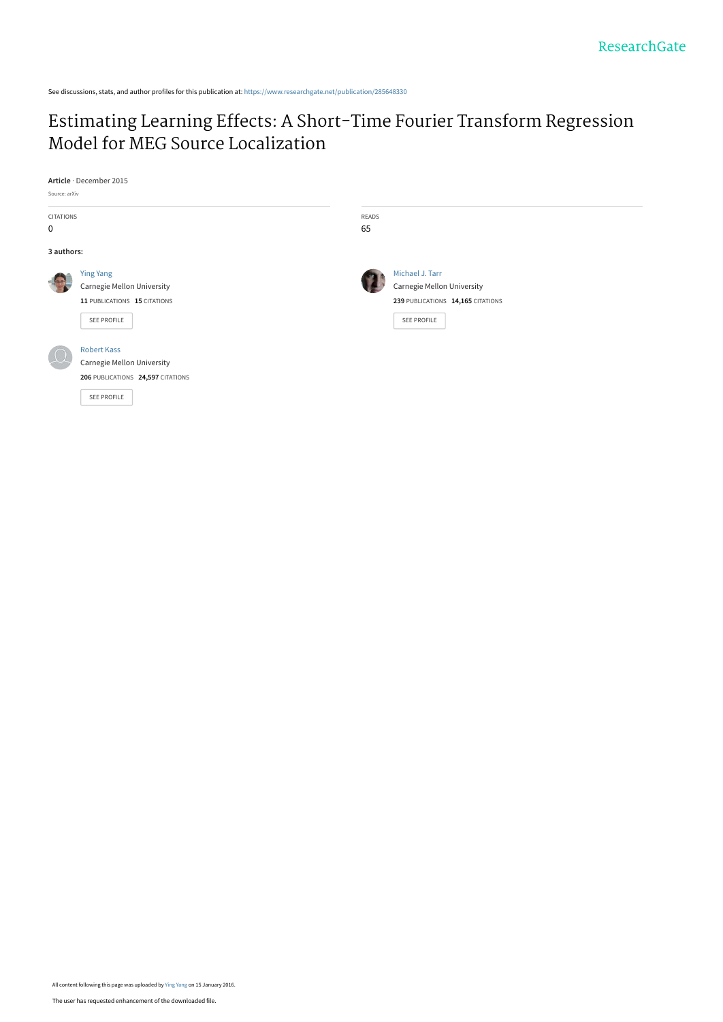See discussions, stats, and author profiles for this publication at: [https://www.researchgate.net/publication/285648330](https://www.researchgate.net/publication/285648330_Estimating_Learning_Effects_A_Short-Time_Fourier_Transform_Regression_Model_for_MEG_Source_Localization?enrichId=rgreq-8fbf5a84154ad5af2875b6a2e9ec8a0e-XXX&enrichSource=Y292ZXJQYWdlOzI4NTY0ODMzMDtBUzozMTgyMTAwMDIzNTgyNzJAMTQ1Mjg3ODU4NDIwNg%3D%3D&el=1_x_2&_esc=publicationCoverPdf)

## [Estimating Learning Effects: A Short-Time Fourier Transform Regression](https://www.researchgate.net/publication/285648330_Estimating_Learning_Effects_A_Short-Time_Fourier_Transform_Regression_Model_for_MEG_Source_Localization?enrichId=rgreq-8fbf5a84154ad5af2875b6a2e9ec8a0e-XXX&enrichSource=Y292ZXJQYWdlOzI4NTY0ODMzMDtBUzozMTgyMTAwMDIzNTgyNzJAMTQ1Mjg3ODU4NDIwNg%3D%3D&el=1_x_3&_esc=publicationCoverPdf) Model for MEG Source Localization

**Article** · December 2015

| Source: arXiv |                                   |       |                                   |  |
|---------------|-----------------------------------|-------|-----------------------------------|--|
| CITATIONS     |                                   | READS |                                   |  |
| 0             |                                   | 65    |                                   |  |
| 3 authors:    |                                   |       |                                   |  |
|               | <b>Ying Yang</b>                  |       | Michael J. Tarr                   |  |
|               | Carnegie Mellon University        |       | Carnegie Mellon University        |  |
|               | 11 PUBLICATIONS 15 CITATIONS      |       | 239 PUBLICATIONS 14,165 CITATIONS |  |
|               | SEE PROFILE                       |       | SEE PROFILE                       |  |
|               |                                   |       |                                   |  |
|               | <b>Robert Kass</b>                |       |                                   |  |
|               | Carnegie Mellon University        |       |                                   |  |
|               | 206 PUBLICATIONS 24,597 CITATIONS |       |                                   |  |
|               | SEE PROFILE                       |       |                                   |  |
|               |                                   |       |                                   |  |
|               |                                   |       |                                   |  |

All content following this page was uploaded by [Ying Yang](https://www.researchgate.net/profile/Ying_Yang68?enrichId=rgreq-8fbf5a84154ad5af2875b6a2e9ec8a0e-XXX&enrichSource=Y292ZXJQYWdlOzI4NTY0ODMzMDtBUzozMTgyMTAwMDIzNTgyNzJAMTQ1Mjg3ODU4NDIwNg%3D%3D&el=1_x_10&_esc=publicationCoverPdf) on 15 January 2016.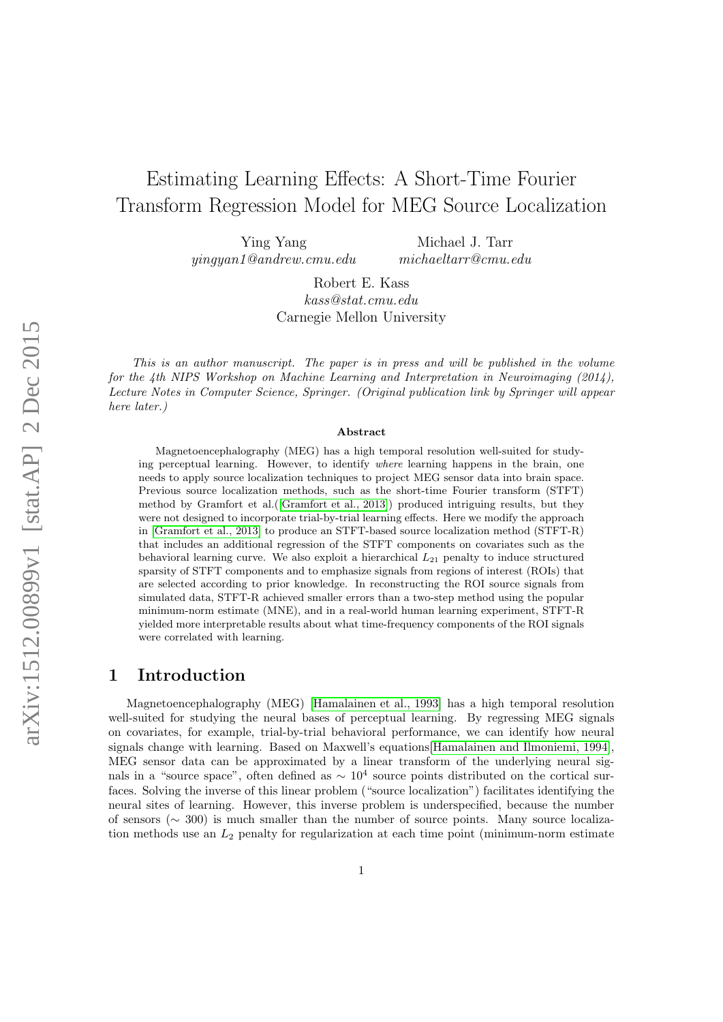# Estimating Learning Effects: A Short-Time Fourier Transform Regression Model for MEG Source Localization

Ying Yang yingyan1@andrew.cmu.edu

Michael J. Tarr michaeltarr@cmu.edu

Robert E. Kass kass@stat.cmu.edu Carnegie Mellon University

This is an author manuscript. The paper is in press and will be published in the volume for the 4th NIPS Workshop on Machine Learning and Interpretation in Neuroimaging (2014), Lecture Notes in Computer Science, Springer. (Original publication link by Springer will appear here later.)

#### Abstract

Magnetoencephalography (MEG) has a high temporal resolution well-suited for studying perceptual learning. However, to identify where learning happens in the brain, one needs to apply source localization techniques to project MEG sensor data into brain space. Previous source localization methods, such as the short-time Fourier transform (STFT) method by Gramfort et al.([\[Gramfort et al., 2013\]](#page-12-0)) produced intriguing results, but they were not designed to incorporate trial-by-trial learning effects. Here we modify the approach in [\[Gramfort et al., 2013\]](#page-12-0) to produce an STFT-based source localization method (STFT-R) that includes an additional regression of the STFT components on covariates such as the behavioral learning curve. We also exploit a hierarchical  $L_{21}$  penalty to induce structured sparsity of STFT components and to emphasize signals from regions of interest (ROIs) that are selected according to prior knowledge. In reconstructing the ROI source signals from simulated data, STFT-R achieved smaller errors than a two-step method using the popular minimum-norm estimate (MNE), and in a real-world human learning experiment, STFT-R yielded more interpretable results about what time-frequency components of the ROI signals were correlated with learning.

### 1 Introduction

Magnetoencephalography (MEG) [\[Hamalainen et al., 1993\]](#page-12-1) has a high temporal resolution well-suited for studying the neural bases of perceptual learning. By regressing MEG signals on covariates, for example, trial-by-trial behavioral performance, we can identify how neural signals change with learning. Based on Maxwell's equations[\[Hamalainen and Ilmoniemi, 1994\]](#page-12-2), MEG sensor data can be approximated by a linear transform of the underlying neural signals in a "source space", often defined as  $\sim 10^4$  source points distributed on the cortical surfaces. Solving the inverse of this linear problem ("source localization") facilitates identifying the neural sites of learning. However, this inverse problem is underspecified, because the number of sensors (∼ 300) is much smaller than the number of source points. Many source localization methods use an  $L_2$  penalty for regularization at each time point (minimum-norm estimate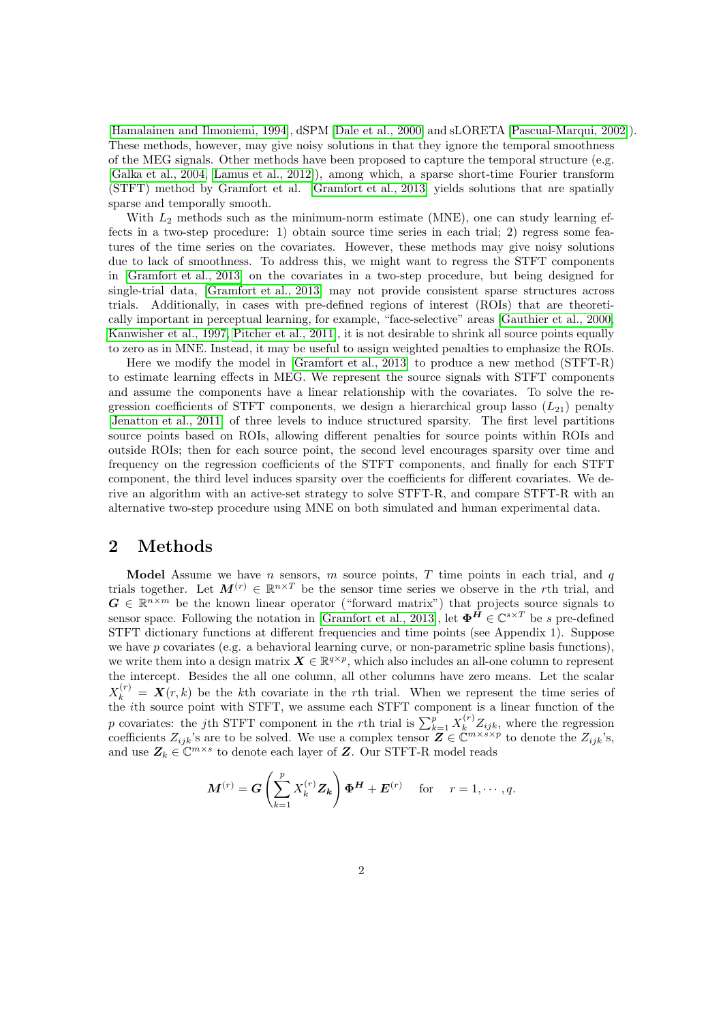[\[Hamalainen and Ilmoniemi, 1994\]](#page-12-2), dSPM [\[Dale et al., 2000\]](#page-12-3) and sLORETA [\[Pascual-Marqui, 2002\]](#page-13-0)). These methods, however, may give noisy solutions in that they ignore the temporal smoothness of the MEG signals. Other methods have been proposed to capture the temporal structure (e.g. [\[Galka et al., 2004,](#page-12-4) [Lamus et al., 2012\]](#page-12-5)), among which, a sparse short-time Fourier transform (STFT) method by Gramfort et al. [\[Gramfort et al., 2013\]](#page-12-0) yields solutions that are spatially sparse and temporally smooth.

With  $L_2$  methods such as the minimum-norm estimate (MNE), one can study learning effects in a two-step procedure: 1) obtain source time series in each trial; 2) regress some features of the time series on the covariates. However, these methods may give noisy solutions due to lack of smoothness. To address this, we might want to regress the STFT components in [\[Gramfort et al., 2013\]](#page-12-0) on the covariates in a two-step procedure, but being designed for single-trial data, [\[Gramfort et al., 2013\]](#page-12-0) may not provide consistent sparse structures across trials. Additionally, in cases with pre-defined regions of interest (ROIs) that are theoretically important in perceptual learning, for example, "face-selective" areas [\[Gauthier et al., 2000,](#page-12-6) [Kanwisher et al., 1997,](#page-12-7) [Pitcher et al., 2011\]](#page-13-1), it is not desirable to shrink all source points equally to zero as in MNE. Instead, it may be useful to assign weighted penalties to emphasize the ROIs.

Here we modify the model in [\[Gramfort et al., 2013\]](#page-12-0) to produce a new method (STFT-R) to estimate learning effects in MEG. We represent the source signals with STFT components and assume the components have a linear relationship with the covariates. To solve the regression coefficients of STFT components, we design a hierarchical group lasso  $(L_{21})$  penalty [\[Jenatton et al., 2011\]](#page-12-8) of three levels to induce structured sparsity. The first level partitions source points based on ROIs, allowing different penalties for source points within ROIs and outside ROIs; then for each source point, the second level encourages sparsity over time and frequency on the regression coefficients of the STFT components, and finally for each STFT component, the third level induces sparsity over the coefficients for different covariates. We derive an algorithm with an active-set strategy to solve STFT-R, and compare STFT-R with an alternative two-step procedure using MNE on both simulated and human experimental data.

#### 2 Methods

Model Assume we have n sensors,  $m$  source points,  $T$  time points in each trial, and  $q$ trials together. Let  $M^{(r)} \in \mathbb{R}^{n \times T}$  be the sensor time series we observe in the rth trial, and  $G \in \mathbb{R}^{n \times m}$  be the known linear operator ("forward matrix") that projects source signals to sensor space. Following the notation in [\[Gramfort et al., 2013\]](#page-12-0), let  $\mathbf{\Phi}^H \in \mathbb{C}^{s \times T}$  be s pre-defined STFT dictionary functions at different frequencies and time points (see Appendix 1). Suppose we have p covariates (e.g. a behavioral learning curve, or non-parametric spline basis functions), we write them into a design matrix  $\mathbf{X} \in \mathbb{R}^{q \times p}$ , which also includes an all-one column to represent the intercept. Besides the all one column, all other columns have zero means. Let the scalar  $X_k^{(r)} = X(r, k)$  be the kth covariate in the rth trial. When we represent the time series of the ith source point with STFT, we assume each STFT component is a linear function of the p covariates: the jth STFT component in the rth trial is  $\sum_{k=1}^{p} X_k^{(r)} Z_{ijk}$ , where the regression coefficients  $Z_{ijk}$ 's are to be solved. We use a complex tensor  $\mathbf{Z} \in \mathbb{C}^{m \times s \times p}$  to denote the  $Z_{ijk}$ 's, and use  $\mathbf{Z}_k \in \mathbb{C}^{m \times s}$  to denote each layer of  $\mathbf{Z}$ . Our STFT-R model reads

<span id="page-2-0"></span>
$$
\boldsymbol{M}^{(r)} = \boldsymbol{G} \left( \sum_{k=1}^{p} X_k^{(r)} \boldsymbol{Z_k} \right) \boldsymbol{\Phi}^{\boldsymbol{H}} + \boldsymbol{E}^{(r)} \quad \text{ for } \quad r = 1, \cdots, q.
$$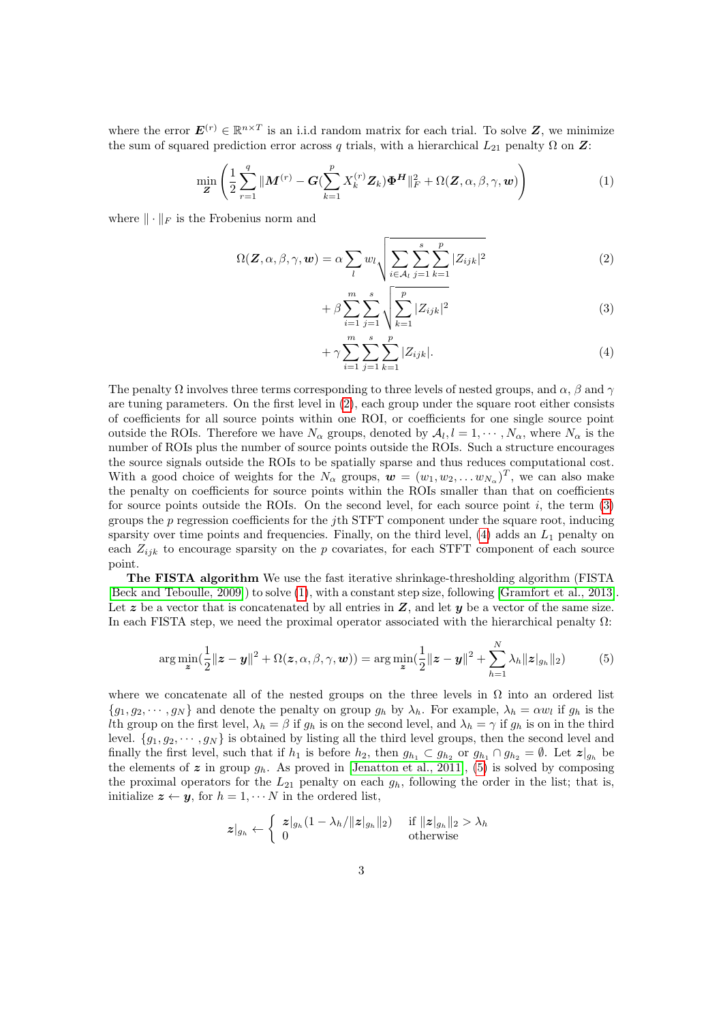where the error  $\mathbf{E}^{(r)} \in \mathbb{R}^{n \times T}$  is an i.i.d random matrix for each trial. To solve Z, we minimize the sum of squared prediction error across q trials, with a hierarchical  $L_{21}$  penalty  $\Omega$  on  $\mathbf{Z}$ :

$$
\min_{\mathbf{Z}} \left( \frac{1}{2} \sum_{r=1}^{q} \|\mathbf{M}^{(r)} - \mathbf{G}(\sum_{k=1}^{p} X_k^{(r)} \mathbf{Z}_k) \boldsymbol{\Phi}^{\mathbf{H}} \|_{F}^{2} + \Omega(\mathbf{Z}, \alpha, \beta, \gamma, \mathbf{w}) \right)
$$
(1)

where  $\|\cdot\|_F$  is the Frobenius norm and

$$
\Omega(\mathbf{Z}, \alpha, \beta, \gamma, \mathbf{w}) = \alpha \sum_{l} w_l \sqrt{\sum_{i \in \mathcal{A}_l} \sum_{j=1}^s \sum_{k=1}^p |Z_{ijk}|^2}
$$
(2)

<span id="page-3-1"></span><span id="page-3-0"></span>
$$
+\beta \sum_{i=1}^{m} \sum_{j=1}^{s} \sqrt{\sum_{k=1}^{p} |Z_{ijk}|^2}
$$
 (3)

<span id="page-3-2"></span>
$$
+\gamma \sum_{i=1}^{m} \sum_{j=1}^{s} \sum_{k=1}^{p} |Z_{ijk}|.
$$
\n(4)

The penalty  $\Omega$  involves three terms corresponding to three levels of nested groups, and  $\alpha$ ,  $\beta$  and  $\gamma$ are tuning parameters. On the first level in [\(2\)](#page-3-0), each group under the square root either consists of coefficients for all source points within one ROI, or coefficients for one single source point outside the ROIs. Therefore we have  $N_{\alpha}$  groups, denoted by  $A_l, l = 1, \cdots, N_{\alpha}$ , where  $N_{\alpha}$  is the number of ROIs plus the number of source points outside the ROIs. Such a structure encourages the source signals outside the ROIs to be spatially sparse and thus reduces computational cost. With a good choice of weights for the  $N_{\alpha}$  groups,  $\mathbf{w} = (w_1, w_2, \dots w_{N_{\alpha}})^T$ , we can also make the penalty on coefficients for source points within the ROIs smaller than that on coefficients for source points outside the ROIs. On the second level, for each source point  $i$ , the term  $(3)$ groups the  $p$  regression coefficients for the jth STFT component under the square root, inducing sparsity over time points and frequencies. Finally, on the third level,  $(4)$  adds an  $L_1$  penalty on each  $Z_{ijk}$  to encourage sparsity on the p covariates, for each STFT component of each source point.

The FISTA algorithm We use the fast iterative shrinkage-thresholding algorithm (FISTA [\[Beck and Teboulle, 2009\]](#page-12-9)) to solve [\(1\)](#page-2-0), with a constant step size, following [\[Gramfort et al., 2013\]](#page-12-0). Let  $z$  be a vector that is concatenated by all entries in  $Z$ , and let  $y$  be a vector of the same size. In each FISTA step, we need the proximal operator associated with the hierarchical penalty  $\Omega$ :

<span id="page-3-3"></span>
$$
\arg\min_{\mathbf{z}}\left(\frac{1}{2}\|\mathbf{z}-\mathbf{y}\|^2+\Omega(\mathbf{z},\alpha,\beta,\gamma,\mathbf{w})\right)=\arg\min_{\mathbf{z}}\left(\frac{1}{2}\|\mathbf{z}-\mathbf{y}\|^2+\sum_{h=1}^N\lambda_h\|\mathbf{z}\|_{g_h}\|_2\right)\tag{5}
$$

where we concatenate all of the nested groups on the three levels in  $\Omega$  into an ordered list  ${g_1, g_2, \dots, g_N}$  and denote the penalty on group  $g_h$  by  $\lambda_h$ . For example,  $\lambda_h = \alpha w_l$  if  $g_h$  is the Ith group on the first level,  $\lambda_h = \beta$  if  $g_h$  is on the second level, and  $\lambda_h = \gamma$  if  $g_h$  is on in the third level.  $\{g_1, g_2, \dots, g_N\}$  is obtained by listing all the third level groups, then the second level and finally the first level, such that if  $h_1$  is before  $h_2$ , then  $g_{h_1} \subset g_{h_2}$  or  $g_{h_1} \cap g_{h_2} = \emptyset$ . Let  $z|_{g_h}$  be the elements of  $z$  in group  $g_h$ . As proved in [\[Jenatton et al., 2011\]](#page-12-8), [\(5\)](#page-3-3) is solved by composing the proximal operators for the  $L_{21}$  penalty on each  $g_h$ , following the order in the list; that is, initialize  $z \leftarrow y$ , for  $h = 1, \cdots N$  in the ordered list,

$$
z|_{g_h} \leftarrow \left\{ \begin{array}{ll} z|_{g_h}(1-\lambda_h/\|z|_{g_h}\|_2) & \text{ if } \|z|_{g_h}\|_2 > \lambda_h \\ 0 & \text{ otherwise} \end{array} \right.
$$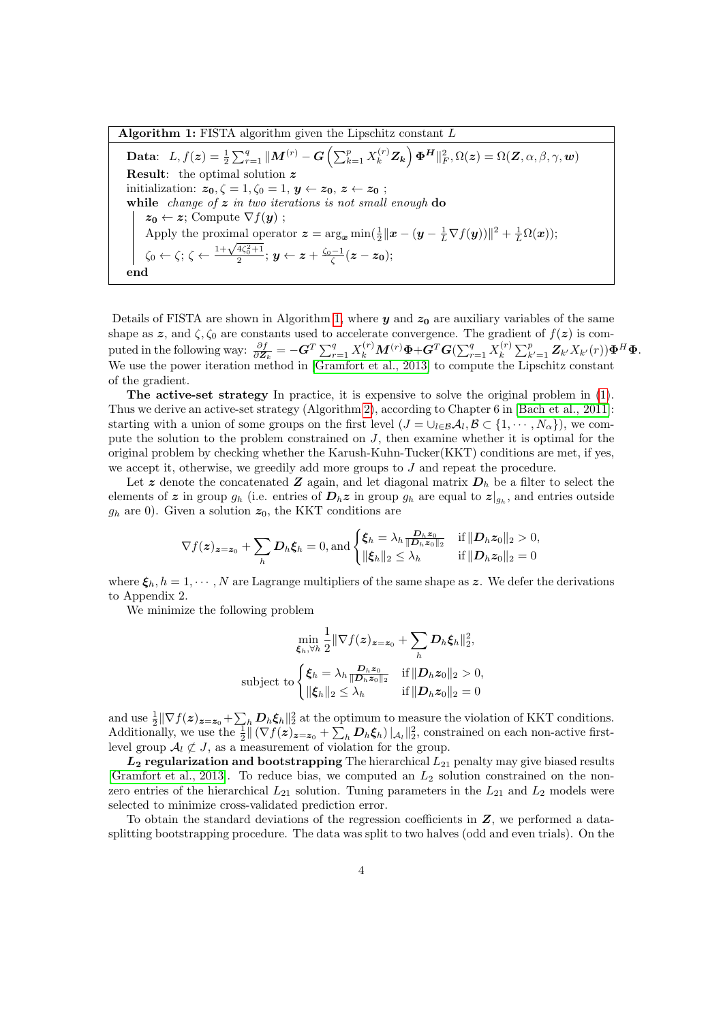Algorithm 1: FISTA algorithm given the Lipschitz constant  $L$ 

<span id="page-4-0"></span> $\textbf{Data:} \ \ \ L,f(\boldsymbol{z})=\frac{1}{2}\sum_{r=1}^{q}\|\boldsymbol{M}^{(r)}-\boldsymbol{G}\left(\sum_{k=1}^{p}X_{k}^{(r)}\boldsymbol{Z_{k}}\right)\boldsymbol{\Phi^{H}}\|_{F}^{2},\Omega(\boldsymbol{z})=\Omega(\boldsymbol{Z},\alpha,\beta,\gamma,\boldsymbol{w})$ Result: the optimal solution z initialization:  $z_0, \zeta = 1, \zeta_0 = 1, y \leftarrow z_0, z \leftarrow z_0;$ while change of  $z$  in two iterations is not small enough do  $z_0 \leftarrow z$ ; Compute  $\nabla f(\boldsymbol{y})$ ; Apply the proximal operator  $\boldsymbol{z} = \arg_{\boldsymbol{x}} \min(\frac{1}{2} || \boldsymbol{x} - (\boldsymbol{y} - \frac{1}{L} \nabla f(\boldsymbol{y})) ||^2 + \frac{1}{L} \Omega(\boldsymbol{x})$ ; Apply the proximal operator  $z = \arg_x \min_{\bar{z}} |\bar{z}|$ <br>  $\zeta_0 \leftarrow \zeta$ ;  $\zeta \leftarrow \frac{1 + \sqrt{4\zeta_0^2 + 1}}{2}$ ;  $y \leftarrow z + \frac{\zeta_0 - 1}{\zeta}(z - z_0)$ ; end

Details of FISTA are shown in Algorithm [1,](#page-4-0) where  $y$  and  $z_0$  are auxiliary variables of the same shape as z, and  $\zeta$ ,  $\zeta_0$  are constants used to accelerate convergence. The gradient of  $f(z)$  is computed in the following way:  $\frac{\partial f}{\partial \mathbf{Z}_k} = -\mathbf{G}^T \sum_{r=1}^q X_k^{(r)} \mathbf{M}^{(r)} \mathbf{\Phi} + \mathbf{G}^T \mathbf{G} (\sum_{r=1}^q X_k^{(r)} )$  $\mathcal{E}_k^{(r)} \sum_{k'=1}^p \bm{Z}_{k'} X_{k'}(r)) \bm{\Phi}^H \bm{\Phi}.$ We use the power iteration method in [\[Gramfort et al., 2013\]](#page-12-0) to compute the Lipschitz constant of the gradient.

The active-set strategy In practice, it is expensive to solve the original problem in [\(1\)](#page-2-0). Thus we derive an active-set strategy (Algorithm [2\)](#page-5-0), according to Chapter 6 in [\[Bach et al., 2011\]](#page-12-10): starting with a union of some groups on the first level  $(J = \cup_{l \in \mathcal{B}} A_l, \mathcal{B} \subset \{1, \cdots, N_\alpha\})$ , we compute the solution to the problem constrained on J, then examine whether it is optimal for the original problem by checking whether the Karush-Kuhn-Tucker(KKT) conditions are met, if yes, we accept it, otherwise, we greedily add more groups to  $J$  and repeat the procedure.

Let z denote the concatenated Z again, and let diagonal matrix  $D_h$  be a filter to select the elements of z in group  $g_h$  (i.e. entries of  $D_h z$  in group  $g_h$  are equal to  $z|_{g_h}$ , and entries outside  $g_h$  are 0). Given a solution  $z_0$ , the KKT conditions are

$$
\nabla f(\boldsymbol{z})_{\boldsymbol{z}=\boldsymbol{z}_0} + \sum_h \boldsymbol{D}_h \boldsymbol{\xi}_h = 0, \text{and } \begin{cases} \boldsymbol{\xi}_h = \lambda_h \frac{\boldsymbol{D}_h \boldsymbol{z}_0}{\|\boldsymbol{D}_h \boldsymbol{z}_0\|_2} & \text{if } \|\boldsymbol{D}_h \boldsymbol{z}_0\|_2 > 0, \\ \|\boldsymbol{\xi}_h\|_2 \leq \lambda_h & \text{if } \|\boldsymbol{D}_h \boldsymbol{z}_0\|_2 = 0 \end{cases}
$$

where  $\xi_h$ ,  $h = 1, \dots, N$  are Lagrange multipliers of the same shape as z. We defer the derivations to Appendix 2.

We minimize the following problem

$$
\min_{\xi_h, \forall h} \frac{1}{2} \|\nabla f(z)_{z=z_0} + \sum_h \mathbf{D}_h \xi_h\|_2^2,
$$
  
subject to 
$$
\begin{cases} \xi_h = \lambda_h \frac{\mathbf{D}_h z_0}{\|\mathbf{D}_h z_0\|_2} & \text{if } \|\mathbf{D}_h z_0\|_2 > 0, \\ \|\xi_h\|_2 \le \lambda_h & \text{if } \|\mathbf{D}_h z_0\|_2 = 0 \end{cases}
$$

and use  $\frac{1}{2} \|\nabla f(z)_{z=z_0} + \sum_h \mathbf{D}_h \boldsymbol{\xi}_h\|_2^2$  at the optimum to measure the violation of KKT conditions. Additionally, we use the  $\frac{1}{2} \|\nabla f(z)_{z=z_0} + \sum_h \mathbf{D}_h \xi_h\|_{A_l}^2$ , constrained on each non-active firstlevel group  $\mathcal{A}_l \not\subset J$ , as a measurement of violation for the group.

 $L_2$  regularization and bootstrapping The hierarchical  $L_{21}$  penalty may give biased results [\[Gramfort et al., 2013\]](#page-12-0). To reduce bias, we computed an  $L_2$  solution constrained on the nonzero entries of the hierarchical  $L_{21}$  solution. Tuning parameters in the  $L_{21}$  and  $L_2$  models were selected to minimize cross-validated prediction error.

To obtain the standard deviations of the regression coefficients in Z, we performed a datasplitting bootstrapping procedure. The data was split to two halves (odd and even trials). On the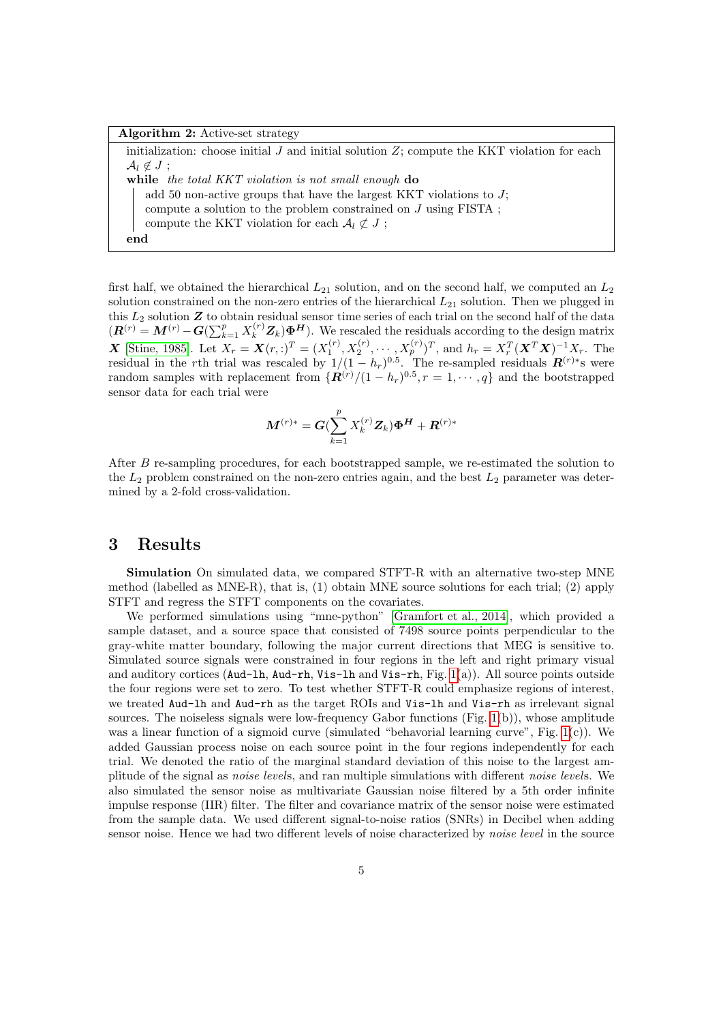<span id="page-5-0"></span>

| <b>Algorithm 2:</b> Active-set strategy                                                          |  |  |  |
|--------------------------------------------------------------------------------------------------|--|--|--|
| initialization: choose initial $J$ and initial solution $Z$ ; compute the KKT violation for each |  |  |  |
| $\mathcal{A}_l \notin J$ ;                                                                       |  |  |  |
| while the total KKT violation is not small enough do                                             |  |  |  |
| add 50 non-active groups that have the largest KKT violations to $J$ ;                           |  |  |  |
| compute a solution to the problem constrained on $J$ using FISTA;                                |  |  |  |
| compute the KKT violation for each $\mathcal{A}_l \not\subset J$ ;                               |  |  |  |
| end                                                                                              |  |  |  |

first half, we obtained the hierarchical  $L_{21}$  solution, and on the second half, we computed an  $L_2$ solution constrained on the non-zero entries of the hierarchical  $L_{21}$  solution. Then we plugged in this  $L_2$  solution  $\boldsymbol{Z}$  to obtain residual sensor time series of each trial on the second half of the data  $(R^{(r)} = M^{(r)} - G(\sum_{k=1}^p X_k^{(r)} Z_k) \Phi^H)$ . We rescaled the residuals according to the design matrix **X** [\[Stine, 1985\]](#page-13-2). Let  $X_r = \mathbf{X}(r,.)^T = (X_1^{(r)}, X_2^{(r)}, \cdots, X_p^{(r)})^T$ , and  $h_r = X_r^T (\mathbf{X}^T \mathbf{X})^{-1} X_r$ . The residual in the rth trial was rescaled by  $1/(1-h_r)^{0.5}$ . The re-sampled residuals  $\mathbf{R}^{(r)*}$ s were random samples with replacement from  $\{R^{(r)}/(1-h_r)^{0.5}, r=1,\cdots,q\}$  and the bootstrapped sensor data for each trial were

$$
\bm{M}^{(r)*} = \bm{G}(\sum_{k=1}^p X_k^{(r)}\bm{Z}_k)\bm{\Phi}^{\bm{H}} + \bm{R}^{(r)*}
$$

After B re-sampling procedures, for each bootstrapped sample, we re-estimated the solution to the  $L_2$  problem constrained on the non-zero entries again, and the best  $L_2$  parameter was determined by a 2-fold cross-validation.

## 3 Results

Simulation On simulated data, we compared STFT-R with an alternative two-step MNE method (labelled as MNE-R), that is, (1) obtain MNE source solutions for each trial; (2) apply STFT and regress the STFT components on the covariates.

We performed simulations using "mne-python" [\[Gramfort et al., 2014\]](#page-12-11), which provided a sample dataset, and a source space that consisted of 7498 source points perpendicular to the gray-white matter boundary, following the major current directions that MEG is sensitive to. Simulated source signals were constrained in four regions in the left and right primary visual and auditory cortices (Aud-lh, Aud-rh, Vis-lh and Vis-rh, Fig. [1\(](#page-7-0)a)). All source points outside the four regions were set to zero. To test whether STFT-R could emphasize regions of interest, we treated Aud-lh and Aud-rh as the target ROIs and Vis-lh and Vis-rh as irrelevant signal sources. The noiseless signals were low-frequency Gabor functions (Fig. [1\(](#page-7-0)b)), whose amplitude was a linear function of a sigmoid curve (simulated "behavorial learning curve", Fig. [1\(](#page-7-0)c)). We added Gaussian process noise on each source point in the four regions independently for each trial. We denoted the ratio of the marginal standard deviation of this noise to the largest amplitude of the signal as noise levels, and ran multiple simulations with different noise levels. We also simulated the sensor noise as multivariate Gaussian noise filtered by a 5th order infinite impulse response (IIR) filter. The filter and covariance matrix of the sensor noise were estimated from the sample data. We used different signal-to-noise ratios (SNRs) in Decibel when adding sensor noise. Hence we had two different levels of noise characterized by *noise level* in the source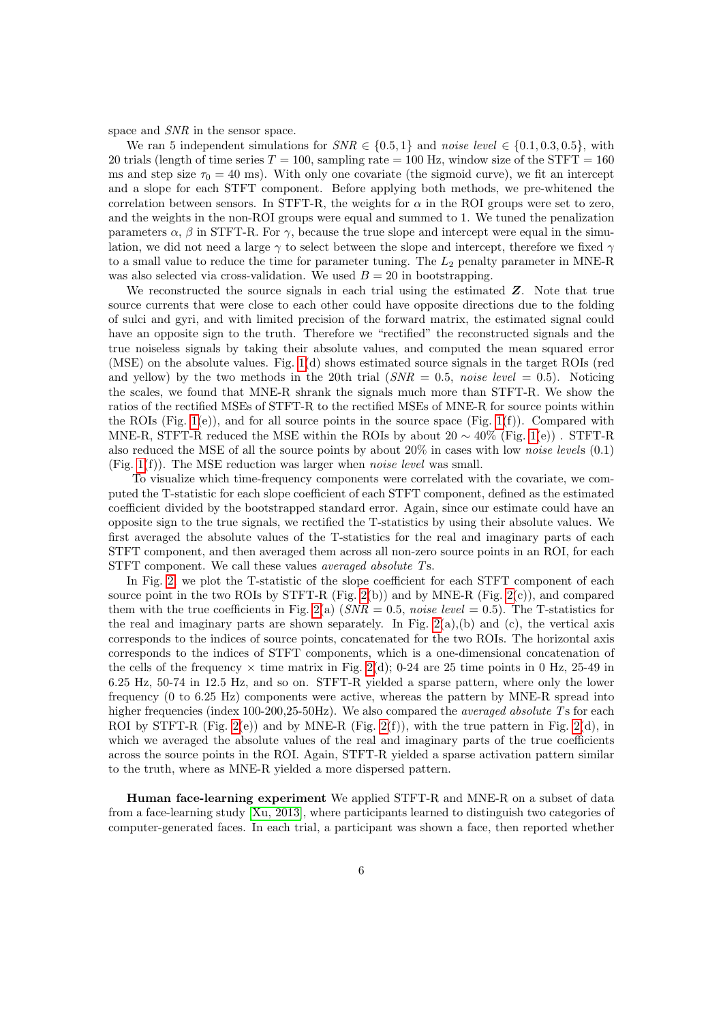space and  $SNR$  in the sensor space.

We ran 5 independent simulations for  $SNR \in \{0.5, 1\}$  and noise level  $\in \{0.1, 0.3, 0.5\}$ , with 20 trials (length of time series  $T = 100$ , sampling rate  $= 100$  Hz, window size of the STFT  $= 160$ ms and step size  $\tau_0 = 40$  ms). With only one covariate (the sigmoid curve), we fit an intercept and a slope for each STFT component. Before applying both methods, we pre-whitened the correlation between sensors. In STFT-R, the weights for  $\alpha$  in the ROI groups were set to zero, and the weights in the non-ROI groups were equal and summed to 1. We tuned the penalization parameters  $\alpha$ ,  $\beta$  in STFT-R. For  $\gamma$ , because the true slope and intercept were equal in the simulation, we did not need a large  $\gamma$  to select between the slope and intercept, therefore we fixed  $\gamma$ to a small value to reduce the time for parameter tuning. The  $L_2$  penalty parameter in MNE-R was also selected via cross-validation. We used  $B = 20$  in bootstrapping.

We reconstructed the source signals in each trial using the estimated  $Z$ . Note that true source currents that were close to each other could have opposite directions due to the folding of sulci and gyri, and with limited precision of the forward matrix, the estimated signal could have an opposite sign to the truth. Therefore we "rectified" the reconstructed signals and the true noiseless signals by taking their absolute values, and computed the mean squared error (MSE) on the absolute values. Fig. [1\(](#page-7-0)d) shows estimated source signals in the target ROIs (red and yellow) by the two methods in the 20th trial  $(SNR = 0.5, noise level = 0.5)$ . Noticing the scales, we found that MNE-R shrank the signals much more than STFT-R. We show the ratios of the rectified MSEs of STFT-R to the rectified MSEs of MNE-R for source points within the ROIs (Fig. [1\(](#page-7-0)e)), and for all source points in the source space (Fig. 1(f)). Compared with MNE-R, STFT-R reduced the MSE within the ROIs by about  $20 \sim 40\%$  (Fig. [1\(](#page-7-0)e)). STFT-R also reduced the MSE of all the source points by about 20% in cases with low noise levels (0.1) (Fig.  $1(f)$ ). The MSE reduction was larger when *noise level* was small.

To visualize which time-frequency components were correlated with the covariate, we computed the T-statistic for each slope coefficient of each STFT component, defined as the estimated coefficient divided by the bootstrapped standard error. Again, since our estimate could have an opposite sign to the true signals, we rectified the T-statistics by using their absolute values. We first averaged the absolute values of the T-statistics for the real and imaginary parts of each STFT component, and then averaged them across all non-zero source points in an ROI, for each STFT component. We call these values averaged absolute Ts.

In Fig. [2,](#page-8-0) we plot the T-statistic of the slope coefficient for each STFT component of each source point in the two ROIs by STFT-R (Fig. [2\(](#page-8-0)b)) and by MNE-R (Fig. 2(c)), and compared them with the true coefficients in Fig. [2\(](#page-8-0)a)  $(SNR = 0.5, noise level = 0.5)$ . The T-statistics for the real and imaginary parts are shown separately. In Fig.  $2(a)$ , (b) and (c), the vertical axis corresponds to the indices of source points, concatenated for the two ROIs. The horizontal axis corresponds to the indices of STFT components, which is a one-dimensional concatenation of the cells of the frequency  $\times$  time matrix in Fig. [2\(](#page-8-0)d); 0-24 are 25 time points in 0 Hz, 25-49 in 6.25 Hz, 50-74 in 12.5 Hz, and so on. STFT-R yielded a sparse pattern, where only the lower frequency (0 to 6.25 Hz) components were active, whereas the pattern by MNE-R spread into higher frequencies (index  $100-200.25-50Hz$ ). We also compared the *averaged absolute Ts* for each ROI by STFT-R (Fig. [2\(](#page-8-0)e)) and by MNE-R (Fig. 2(f)), with the true pattern in Fig. 2(d), in which we averaged the absolute values of the real and imaginary parts of the true coefficients across the source points in the ROI. Again, STFT-R yielded a sparse activation pattern similar to the truth, where as MNE-R yielded a more dispersed pattern.

Human face-learning experiment We applied STFT-R and MNE-R on a subset of data from a face-learning study [\[Xu, 2013\]](#page-13-3), where participants learned to distinguish two categories of computer-generated faces. In each trial, a participant was shown a face, then reported whether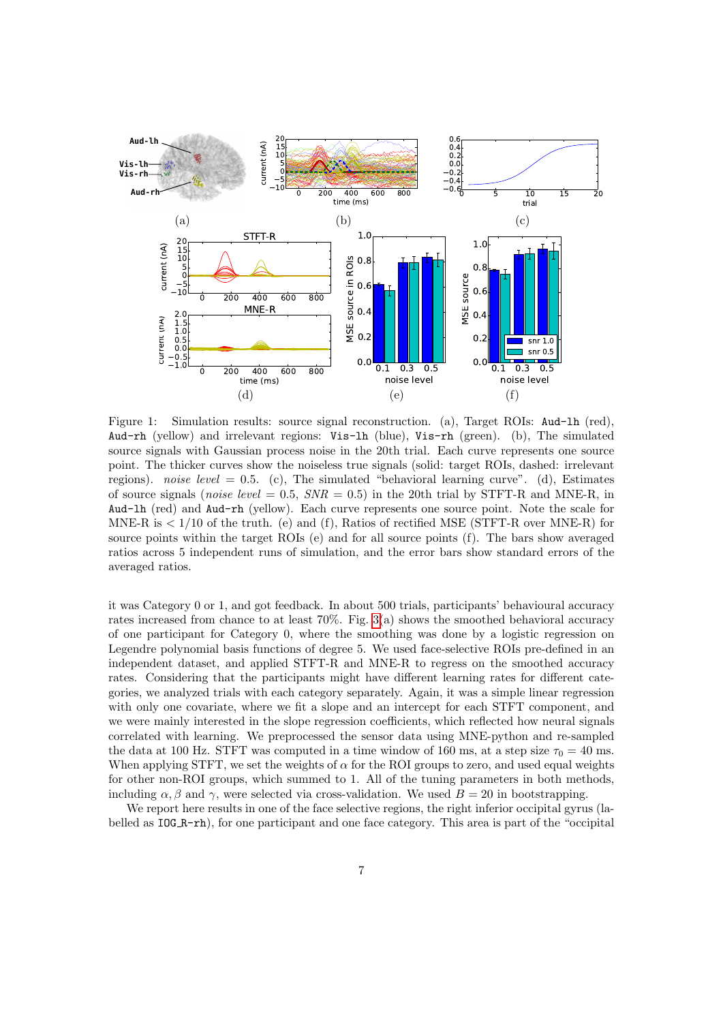

<span id="page-7-0"></span>Figure 1: Simulation results: source signal reconstruction. (a), Target ROIs: Aud-lh (red), Aud-rh (yellow) and irrelevant regions: Vis-lh (blue), Vis-rh (green). (b), The simulated source signals with Gaussian process noise in the 20th trial. Each curve represents one source point. The thicker curves show the noiseless true signals (solid: target ROIs, dashed: irrelevant regions). noise level  $= 0.5$ . (c), The simulated "behavioral learning curve". (d), Estimates of source signals (*noise level* = 0.5,  $SNR = 0.5$ ) in the 20th trial by STFT-R and MNE-R, in Aud-lh (red) and Aud-rh (yellow). Each curve represents one source point. Note the scale for MNE-R is  $\lt 1/10$  of the truth. (e) and (f), Ratios of rectified MSE (STFT-R over MNE-R) for source points within the target ROIs (e) and for all source points (f). The bars show averaged ratios across 5 independent runs of simulation, and the error bars show standard errors of the averaged ratios.

it was Category 0 or 1, and got feedback. In about 500 trials, participants' behavioural accuracy rates increased from chance to at least 70%. Fig. [3\(](#page-9-0)a) shows the smoothed behavioral accuracy of one participant for Category 0, where the smoothing was done by a logistic regression on Legendre polynomial basis functions of degree 5. We used face-selective ROIs pre-defined in an independent dataset, and applied STFT-R and MNE-R to regress on the smoothed accuracy rates. Considering that the participants might have different learning rates for different categories, we analyzed trials with each category separately. Again, it was a simple linear regression with only one covariate, where we fit a slope and an intercept for each STFT component, and we were mainly interested in the slope regression coefficients, which reflected how neural signals correlated with learning. We preprocessed the sensor data using MNE-python and re-sampled the data at 100 Hz. STFT was computed in a time window of 160 ms, at a step size  $\tau_0 = 40$  ms. When applying STFT, we set the weights of  $\alpha$  for the ROI groups to zero, and used equal weights for other non-ROI groups, which summed to 1. All of the tuning parameters in both methods, including  $\alpha$ ,  $\beta$  and  $\gamma$ , were selected via cross-validation. We used  $B = 20$  in bootstrapping.

We report here results in one of the face selective regions, the right inferior occipital gyrus (labelled as  $IOG_R-rh$ , for one participant and one face category. This area is part of the "occipital"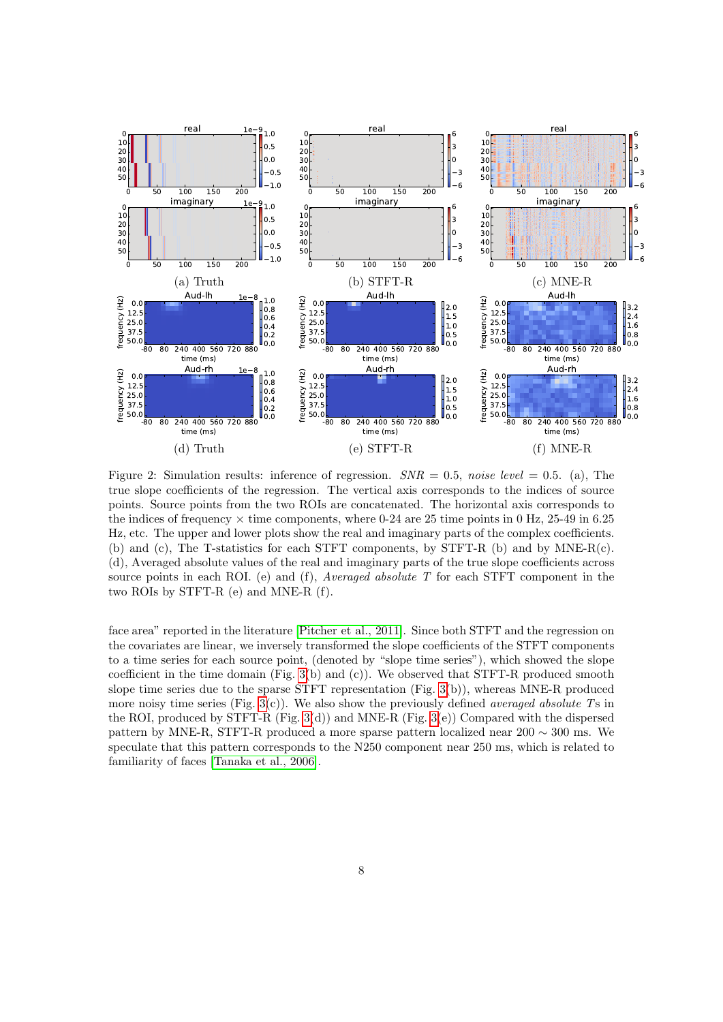

<span id="page-8-0"></span>Figure 2: Simulation results: inference of regression.  $SNR = 0.5$ , noise level = 0.5. (a), The true slope coefficients of the regression. The vertical axis corresponds to the indices of source points. Source points from the two ROIs are concatenated. The horizontal axis corresponds to the indices of frequency  $\times$  time components, where 0-24 are 25 time points in 0 Hz, 25-49 in 6.25 Hz, etc. The upper and lower plots show the real and imaginary parts of the complex coefficients. (b) and (c), The T-statistics for each STFT components, by STFT-R (b) and by MNE-R(c). (d), Averaged absolute values of the real and imaginary parts of the true slope coefficients across source points in each ROI. (e) and (f), Averaged absolute  $T$  for each STFT component in the two ROIs by STFT-R (e) and MNE-R (f).

face area" reported in the literature [\[Pitcher et al., 2011\]](#page-13-1). Since both STFT and the regression on the covariates are linear, we inversely transformed the slope coefficients of the STFT components to a time series for each source point, (denoted by "slope time series"), which showed the slope coefficient in the time domain  $(Fig. 3(b)$  $(Fig. 3(b)$  $(Fig. 3(b)$  and  $(c)$ ). We observed that STFT-R produced smooth slope time series due to the sparse STFT representation (Fig. [3\(](#page-9-0)b)), whereas MNE-R produced more noisy time series (Fig.  $3(c)$ ). We also show the previously defined *averaged absolute* Ts in the ROI, produced by STFT-R (Fig. [3\(](#page-9-0)d)) and MNE-R (Fig. 3(e)) Compared with the dispersed pattern by MNE-R, STFT-R produced a more sparse pattern localized near 200  $\sim$  300 ms. We speculate that this pattern corresponds to the N250 component near 250 ms, which is related to familiarity of faces [\[Tanaka et al., 2006\]](#page-13-4).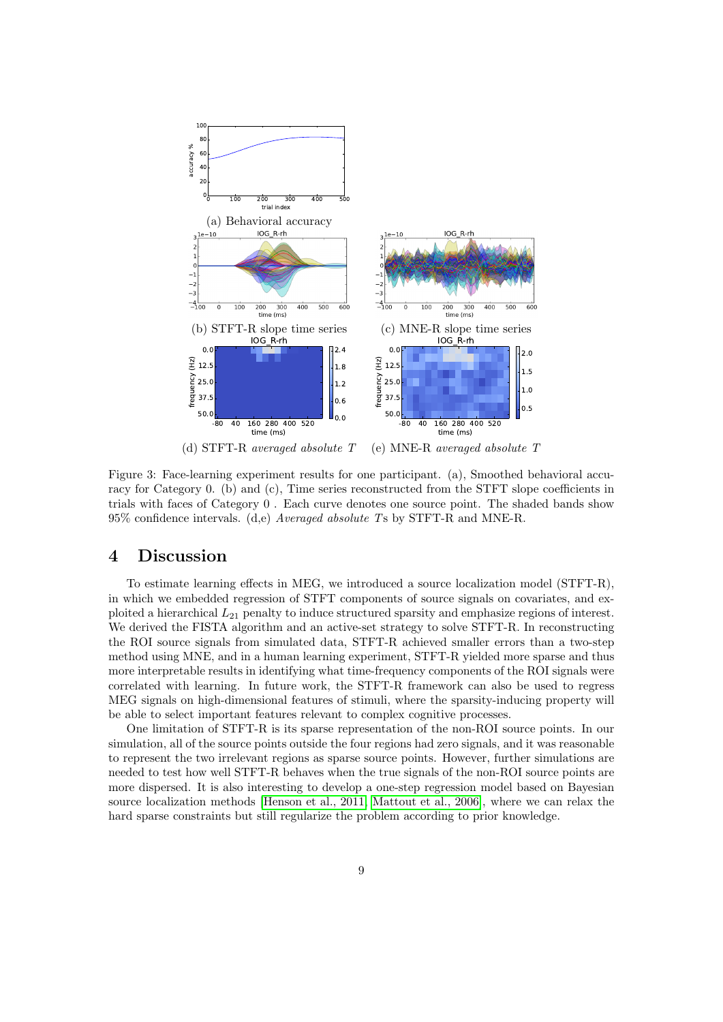

<span id="page-9-0"></span>

Figure 3: Face-learning experiment results for one participant. (a), Smoothed behavioral accuracy for Category 0. (b) and (c), Time series reconstructed from the STFT slope coefficients in trials with faces of Category 0 . Each curve denotes one source point. The shaded bands show  $95\%$  confidence intervals. (d,e) *Averaged absolute* Ts by STFT-R and MNE-R.

### 4 Discussion

To estimate learning effects in MEG, we introduced a source localization model (STFT-R), in which we embedded regression of STFT components of source signals on covariates, and exploited a hierarchical  $L_{21}$  penalty to induce structured sparsity and emphasize regions of interest. We derived the FISTA algorithm and an active-set strategy to solve STFT-R. In reconstructing the ROI source signals from simulated data, STFT-R achieved smaller errors than a two-step method using MNE, and in a human learning experiment, STFT-R yielded more sparse and thus more interpretable results in identifying what time-frequency components of the ROI signals were correlated with learning. In future work, the STFT-R framework can also be used to regress MEG signals on high-dimensional features of stimuli, where the sparsity-inducing property will be able to select important features relevant to complex cognitive processes.

One limitation of STFT-R is its sparse representation of the non-ROI source points. In our simulation, all of the source points outside the four regions had zero signals, and it was reasonable to represent the two irrelevant regions as sparse source points. However, further simulations are needed to test how well STFT-R behaves when the true signals of the non-ROI source points are more dispersed. It is also interesting to develop a one-step regression model based on Bayesian source localization methods [\[Henson et al., 2011,](#page-12-12) [Mattout et al., 2006\]](#page-12-13), where we can relax the hard sparse constraints but still regularize the problem according to prior knowledge.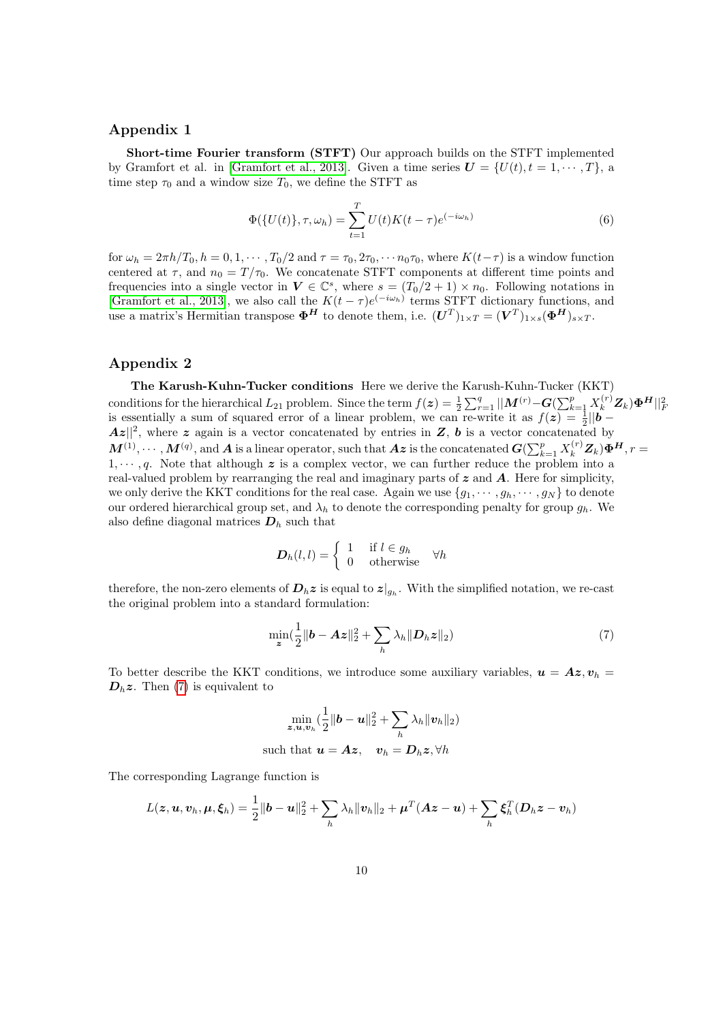#### Appendix 1

Short-time Fourier transform (STFT) Our approach builds on the STFT implemented by Gramfort et al. in [\[Gramfort et al., 2013\]](#page-12-0). Given a time series  $\mathbf{U} = \{U(t), t = 1, \dots, T\}$ , a time step  $\tau_0$  and a window size  $T_0$ , we define the STFT as

$$
\Phi(\{U(t)\}, \tau, \omega_h) = \sum_{t=1}^{T} U(t)K(t-\tau)e^{(-i\omega_h)}
$$
\n(6)

for  $\omega_h = 2\pi h/T_0$ ,  $h = 0, 1, \dots, T_0/2$  and  $\tau = \tau_0, 2\tau_0, \dots, n_0\tau_0$ , where  $K(t-\tau)$  is a window function centered at  $\tau$ , and  $n_0 = T/\tau_0$ . We concatenate STFT components at different time points and frequencies into a single vector in  $V \in \mathbb{C}^s$ , where  $s = (T_0/2 + 1) \times n_0$ . Following notations in [\[Gramfort et al., 2013\]](#page-12-0), we also call the  $K(t-\tau)e^{(-i\omega_h)}$  terms STFT dictionary functions, and use a matrix's Hermitian transpose  $\mathbf{\Phi}^H$  to denote them, i.e.  $(\mathbf{U}^T)_{1 \times T} = (\mathbf{V}^T)_{1 \times s} (\mathbf{\Phi}^H)_{s \times T}$ .

#### Appendix 2

The Karush-Kuhn-Tucker conditions Here we derive the Karush-Kuhn-Tucker (KKT) conditions for the hierarchical  $L_{21}$  problem. Since the term  $f(z) = \frac{1}{2} \sum_{r=1}^{q} ||\mathbf{M}^{(r)} - \mathbf{G}(\sum_{k=1}^{p} X_k^{(r)} \mathbf{Z}_k) \mathbf{\Phi}^H||_F^2$ is essentially a sum of squared error of a linear problem, we can re-write it as  $f(z) = \frac{1}{2} ||b \mathbf{A}z\vert\vert^2$ , where z again is a vector concatenated by entries in Z, b is a vector concatenated by  $\bm{M}^{(1)},\cdots,\bm{M}^{(q)},$  and  $\bm{A}$  is a linear operator, such that  $\bm{A}\bm{z}$  is the concatenated  $\bm{G}(\sum_{k=1}^p X_k^{(r)}\bm{Z}_k)\bm{\Phi}^{\bm{H}}, r=1$  $1, \dots, q$ . Note that although z is a complex vector, we can further reduce the problem into a real-valued problem by rearranging the real and imaginary parts of  $z$  and  $A$ . Here for simplicity, we only derive the KKT conditions for the real case. Again we use  $\{g_1, \dots, g_h, \dots, g_N\}$  to denote our ordered hierarchical group set, and  $\lambda_h$  to denote the corresponding penalty for group  $g_h$ . We also define diagonal matrices  $D_h$  such that

<span id="page-10-0"></span>
$$
\boldsymbol{D}_h(l,l) = \begin{cases} 1 & \text{if } l \in g_h \\ 0 & \text{otherwise} \end{cases} \quad \forall h
$$

therefore, the non-zero elements of  $D_h z$  is equal to  $z|_{g_h}$ . With the simplified notation, we re-cast the original problem into a standard formulation:

$$
\min_{\mathbf{z}} \left( \frac{1}{2} \|\mathbf{b} - \mathbf{A}\mathbf{z}\|_{2}^{2} + \sum_{h} \lambda_{h} \|\mathbf{D}_{h}\mathbf{z}\|_{2} \right) \tag{7}
$$

To better describe the KKT conditions, we introduce some auxiliary variables,  $u = Az$ ,  $v_h$  $D_h z$ . Then [\(7\)](#page-10-0) is equivalent to

$$
\min_{\boldsymbol{z}, \boldsymbol{u}, \boldsymbol{v}_h} (\frac{1}{2} \|\boldsymbol{b} - \boldsymbol{u}\|_2^2 + \sum_h \lambda_h \|\boldsymbol{v}_h\|_2)
$$
\nsuch that  $\boldsymbol{u} = \boldsymbol{A}\boldsymbol{z}$ ,  $\boldsymbol{v}_h = \boldsymbol{D}_h \boldsymbol{z}$ ,  $\forall h$ 

The corresponding Lagrange function is

$$
L(\boldsymbol{z}, \boldsymbol{u}, \boldsymbol{v}_h, \boldsymbol{\mu}, \boldsymbol{\xi}_h) = \frac{1}{2} \|\boldsymbol{b} - \boldsymbol{u}\|_2^2 + \sum_h \lambda_h \|\boldsymbol{v}_h\|_2 + \boldsymbol{\mu}^T (\boldsymbol{A} \boldsymbol{z} - \boldsymbol{u}) + \sum_h \boldsymbol{\xi}_h^T (\boldsymbol{D}_h \boldsymbol{z} - \boldsymbol{v}_h)
$$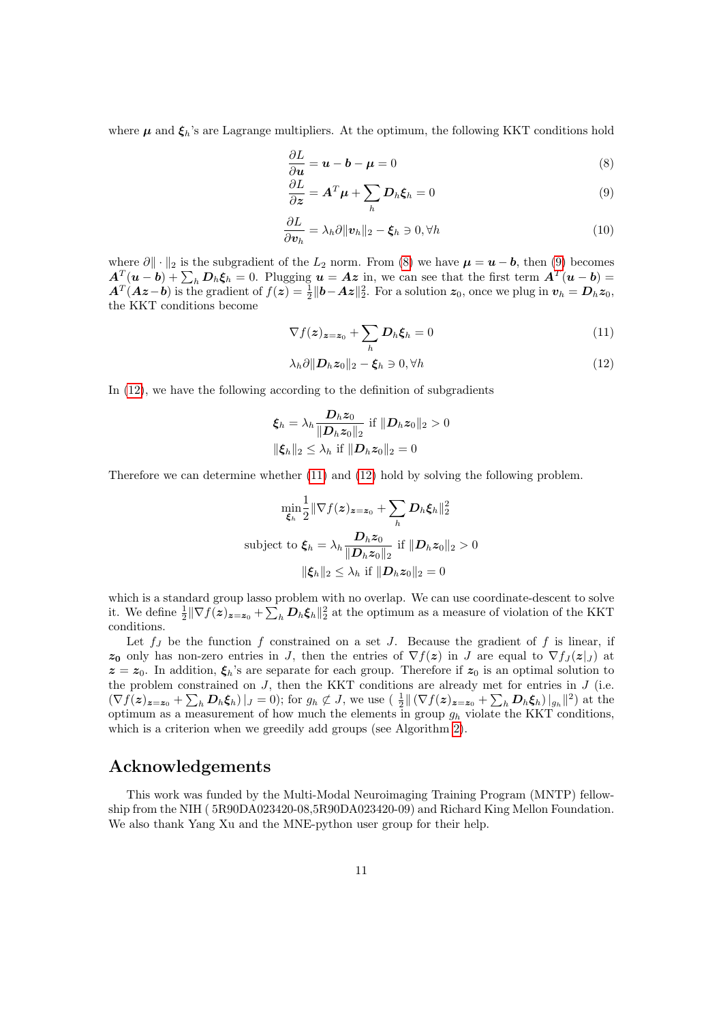where  $\mu$  and  $\xi_h$ 's are Lagrange multipliers. At the optimum, the following KKT conditions hold

<span id="page-11-0"></span>
$$
\frac{\partial L}{\partial u} = u - b - \mu = 0 \tag{8}
$$

<span id="page-11-1"></span>
$$
\frac{\partial L}{\partial z} = A^T \mu + \sum_h D_h \xi_h = 0 \tag{9}
$$

$$
\frac{\partial L}{\partial \mathbf{v}_h} = \lambda_h \partial \|\mathbf{v}_h\|_2 - \xi_h \ni 0, \forall h
$$
\n(10)

where  $\partial \|\cdot\|_2$  is the subgradient of the  $L_2$  norm. From [\(8\)](#page-11-0) we have  $\mu = u - b$ , then [\(9\)](#page-11-1) becomes  $A_{\mu}^T(u-b)+\sum_h D_h \xi_h=0.$  Plugging  $u = Az$  in, we can see that the first term  $A^T(u-b)=0$  $A^T(Az-b)$  is the gradient of  $f(z) = \frac{1}{2} ||b - Az||_2^2$ . For a solution  $z_0$ , once we plug in  $v_h = D_h z_0$ , the KKT conditions become

<span id="page-11-3"></span>
$$
\nabla f(\boldsymbol{z})_{\boldsymbol{z}=\boldsymbol{z}_0} + \sum_h \boldsymbol{D}_h \boldsymbol{\xi}_h = 0 \tag{11}
$$

<span id="page-11-2"></span>
$$
\lambda_h \partial ||\mathbf{D}_h \mathbf{z}_0||_2 - \xi_h \ni 0, \forall h
$$
\n(12)

In [\(12\)](#page-11-2), we have the following according to the definition of subgradients

$$
\xi_h = \lambda_h \frac{\mathbf{D}_h z_0}{\|\mathbf{D}_h z_0\|_2} \text{ if } \|\mathbf{D}_h z_0\|_2 > 0
$$
  

$$
\|\xi_h\|_2 \le \lambda_h \text{ if } \|\mathbf{D}_h z_0\|_2 = 0
$$

Therefore we can determine whether [\(11\)](#page-11-3) and [\(12\)](#page-11-2) hold by solving the following problem.

$$
\min_{\xi_h} \frac{1}{2} \|\nabla f(z)_{z=z_0} + \sum_h D_h \xi_h\|_2^2
$$
\nsubject to 
$$
\xi_h = \lambda_h \frac{D_h z_0}{\|D_h z_0\|_2} \text{ if } \|D_h z_0\|_2 > 0
$$
\n
$$
\|\xi_h\|_2 \le \lambda_h \text{ if } \|D_h z_0\|_2 = 0
$$

which is a standard group lasso problem with no overlap. We can use coordinate-descent to solve it. We define  $\frac{1}{2} \|\nabla f(z)_{z=z_0} + \sum_h \mathcal{D}_h \xi_h\|_2^2$  at the optimum as a measure of violation of the KKT conditions.

Let  $f_J$  be the function f constrained on a set J. Because the gradient of f is linear, if  $z_0$  only has non-zero entries in J, then the entries of  $\nabla f(z)$  in J are equal to  $\nabla f_j(z|_J)$  at  $z = z_0$ . In addition,  $\xi_h$ 's are separate for each group. Therefore if  $z_0$  is an optimal solution to the problem constrained on  $J$ , then the KKT conditions are already met for entries in  $J$  (i.e.  $(\nabla f(z)_{z=z_0} + \sum_h \mathbf{D}_h \boldsymbol{\xi}_h)|_J = 0$ ; for  $g_h \not\subset J$ , we use  $\left(\frac{1}{2} \|\nabla f(z)_{z=z_0} + \sum_h \mathbf{D}_h \boldsymbol{\xi}_h\right)|_{g_h}\|^2$  at the optimum as a measurement of how much the elements in group  $q_h$  violate the KKT conditions, which is a criterion when we greedily add groups (see Algorithm [2\)](#page-5-0).

#### Acknowledgements

This work was funded by the Multi-Modal Neuroimaging Training Program (MNTP) fellowship from the NIH ( 5R90DA023420-08,5R90DA023420-09) and Richard King Mellon Foundation. We also thank Yang Xu and the MNE-python user group for their help.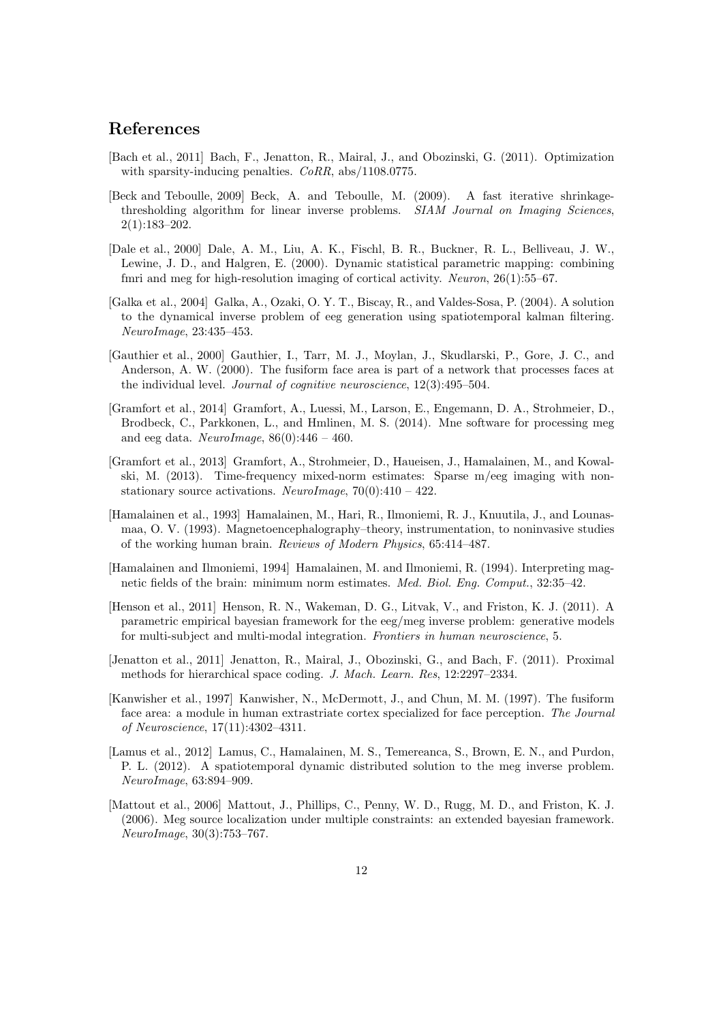## References

- <span id="page-12-10"></span>[Bach et al., 2011] Bach, F., Jenatton, R., Mairal, J., and Obozinski, G. (2011). Optimization with sparsity-inducing penalties.  $CoRR$ , abs/1108.0775.
- <span id="page-12-9"></span>[Beck and Teboulle, 2009] Beck, A. and Teboulle, M. (2009). A fast iterative shrinkagethresholding algorithm for linear inverse problems. SIAM Journal on Imaging Sciences, 2(1):183–202.
- <span id="page-12-3"></span>[Dale et al., 2000] Dale, A. M., Liu, A. K., Fischl, B. R., Buckner, R. L., Belliveau, J. W., Lewine, J. D., and Halgren, E. (2000). Dynamic statistical parametric mapping: combining fmri and meg for high-resolution imaging of cortical activity. Neuron, 26(1):55–67.
- <span id="page-12-4"></span>[Galka et al., 2004] Galka, A., Ozaki, O. Y. T., Biscay, R., and Valdes-Sosa, P. (2004). A solution to the dynamical inverse problem of eeg generation using spatiotemporal kalman filtering. NeuroImage, 23:435–453.
- <span id="page-12-6"></span>[Gauthier et al., 2000] Gauthier, I., Tarr, M. J., Moylan, J., Skudlarski, P., Gore, J. C., and Anderson, A. W. (2000). The fusiform face area is part of a network that processes faces at the individual level. Journal of cognitive neuroscience, 12(3):495–504.
- <span id="page-12-11"></span>[Gramfort et al., 2014] Gramfort, A., Luessi, M., Larson, E., Engemann, D. A., Strohmeier, D., Brodbeck, C., Parkkonen, L., and Hmlinen, M. S. (2014). Mne software for processing meg and eeg data. NeuroImage,  $86(0):446 - 460$ .
- <span id="page-12-0"></span>[Gramfort et al., 2013] Gramfort, A., Strohmeier, D., Haueisen, J., Hamalainen, M., and Kowalski, M. (2013). Time-frequency mixed-norm estimates: Sparse m/eeg imaging with nonstationary source activations. NeuroImage,  $70(0):410 - 422$ .
- <span id="page-12-1"></span>[Hamalainen et al., 1993] Hamalainen, M., Hari, R., Ilmoniemi, R. J., Knuutila, J., and Lounasmaa, O. V. (1993). Magnetoencephalography–theory, instrumentation, to noninvasive studies of the working human brain. Reviews of Modern Physics, 65:414–487.
- <span id="page-12-2"></span>[Hamalainen and Ilmoniemi, 1994] Hamalainen, M. and Ilmoniemi, R. (1994). Interpreting magnetic fields of the brain: minimum norm estimates. Med. Biol. Eng. Comput., 32:35–42.
- <span id="page-12-12"></span>[Henson et al., 2011] Henson, R. N., Wakeman, D. G., Litvak, V., and Friston, K. J. (2011). A parametric empirical bayesian framework for the eeg/meg inverse problem: generative models for multi-subject and multi-modal integration. Frontiers in human neuroscience, 5.
- <span id="page-12-8"></span>[Jenatton et al., 2011] Jenatton, R., Mairal, J., Obozinski, G., and Bach, F. (2011). Proximal methods for hierarchical space coding. J. Mach. Learn. Res, 12:2297–2334.
- <span id="page-12-7"></span>[Kanwisher et al., 1997] Kanwisher, N., McDermott, J., and Chun, M. M. (1997). The fusiform face area: a module in human extrastriate cortex specialized for face perception. The Journal of Neuroscience, 17(11):4302–4311.
- <span id="page-12-5"></span>[Lamus et al., 2012] Lamus, C., Hamalainen, M. S., Temereanca, S., Brown, E. N., and Purdon, P. L. (2012). A spatiotemporal dynamic distributed solution to the meg inverse problem. NeuroImage, 63:894–909.
- <span id="page-12-13"></span>[Mattout et al., 2006] Mattout, J., Phillips, C., Penny, W. D., Rugg, M. D., and Friston, K. J. (2006). Meg source localization under multiple constraints: an extended bayesian framework. NeuroImage, 30(3):753–767.